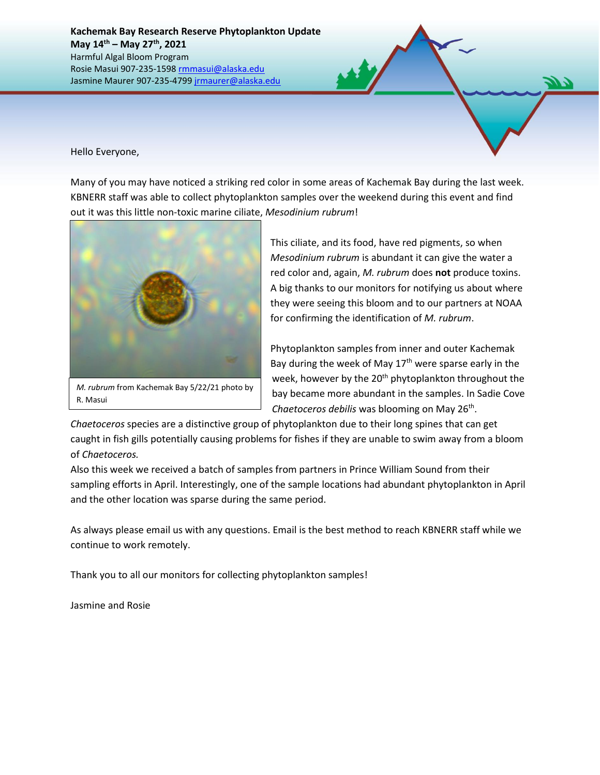**Kachemak Bay Research Reserve Phytoplankton Update May 14th – May 27th , 2021** Harmful Algal Bloom Program Rosie Masui 907-235-1598 [rmmasui@alaska.edu](mailto:rmmasui@alaska.edu) Jasmine Maurer 907-235-479[9 jrmaurer@alaska.edu](mailto:jrmaurer@alaska.edu)

Hello Everyone,

Many of you may have noticed a striking red color in some areas of Kachemak Bay during the last week. KBNERR staff was able to collect phytoplankton samples over the weekend during this event and find out it was this little non-toxic marine ciliate, *Mesodinium rubrum*!



R. Masui

This ciliate, and its food, have red pigments, so when *Mesodinium rubrum* is abundant it can give the water a red color and, again, *M. rubrum* does **not** produce toxins. A big thanks to our monitors for notifying us about where they were seeing this bloom and to our partners at NOAA for confirming the identification of *M. rubrum*.

Phytoplankton samples from inner and outer Kachemak Bay during the week of May  $17<sup>th</sup>$  were sparse early in the week, however by the 20<sup>th</sup> phytoplankton throughout the bay became more abundant in the samples. In Sadie Cove Chaetoceros debilis was blooming on May 26<sup>th</sup>.

*Chaetoceros* species are a distinctive group of phytoplankton due to their long spines that can get caught in fish gills potentially causing problems for fishes if they are unable to swim away from a bloom of *Chaetoceros.*

Also this week we received a batch of samples from partners in Prince William Sound from their sampling efforts in April. Interestingly, one of the sample locations had abundant phytoplankton in April and the other location was sparse during the same period.

As always please email us with any questions. Email is the best method to reach KBNERR staff while we continue to work remotely.

Thank you to all our monitors for collecting phytoplankton samples!

Jasmine and Rosie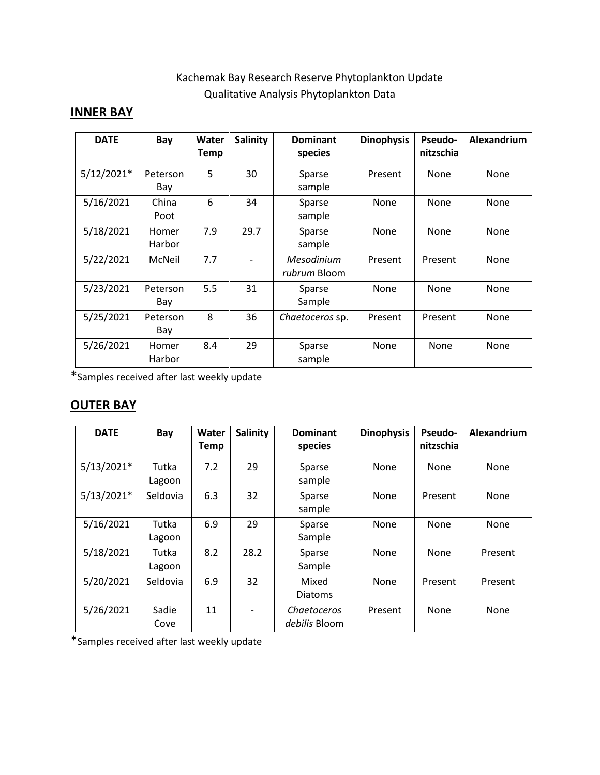## Kachemak Bay Research Reserve Phytoplankton Update Qualitative Analysis Phytoplankton Data

## **INNER BAY**

| <b>DATE</b>  | Bay             | Water<br>Temp | <b>Salinity</b> | <b>Dominant</b><br>species | <b>Dinophysis</b> | <b>Pseudo-</b><br>nitzschia | Alexandrium |
|--------------|-----------------|---------------|-----------------|----------------------------|-------------------|-----------------------------|-------------|
| $5/12/2021*$ | Peterson<br>Bay | 5             | 30              | Sparse<br>sample           | Present           | None                        | None        |
| 5/16/2021    | China<br>Poot   | 6             | 34              | Sparse<br>sample           | None              | None                        | None        |
| 5/18/2021    | Homer<br>Harbor | 7.9           | 29.7            | Sparse<br>sample           | None              | None                        | None        |
| 5/22/2021    | McNeil          | 7.7           |                 | Mesodinium<br>rubrum Bloom | Present           | Present                     | None        |
| 5/23/2021    | Peterson<br>Bay | 5.5           | 31              | Sparse<br>Sample           | None              | None                        | None        |
| 5/25/2021    | Peterson<br>Bay | 8             | 36              | Chaetoceros sp.            | Present           | Present                     | None        |
| 5/26/2021    | Homer<br>Harbor | 8.4           | 29              | Sparse<br>sample           | None              | None                        | None        |

\*Samples received after last weekly update

## **OUTER BAY**

| <b>DATE</b>  | Bay             | Water<br><b>Temp</b> | <b>Salinity</b> | <b>Dominant</b><br>species   | <b>Dinophysis</b> | Pseudo-<br>nitzschia | Alexandrium |
|--------------|-----------------|----------------------|-----------------|------------------------------|-------------------|----------------------|-------------|
| $5/13/2021*$ | Tutka<br>Lagoon | 7.2                  | 29              | Sparse<br>sample             | None              | None                 | None        |
| $5/13/2021*$ | Seldovia        | 6.3                  | 32              | Sparse<br>sample             | None              | Present              | None        |
| 5/16/2021    | Tutka<br>Lagoon | 6.9                  | 29              | Sparse<br>Sample             | None              | None                 | None        |
| 5/18/2021    | Tutka<br>Lagoon | 8.2                  | 28.2            | Sparse<br>Sample             | None              | None                 | Present     |
| 5/20/2021    | Seldovia        | 6.9                  | 32              | Mixed<br><b>Diatoms</b>      | None              | Present              | Present     |
| 5/26/2021    | Sadie<br>Cove   | 11                   |                 | Chaetoceros<br>debilis Bloom | Present           | None                 | None        |

\*Samples received after last weekly update